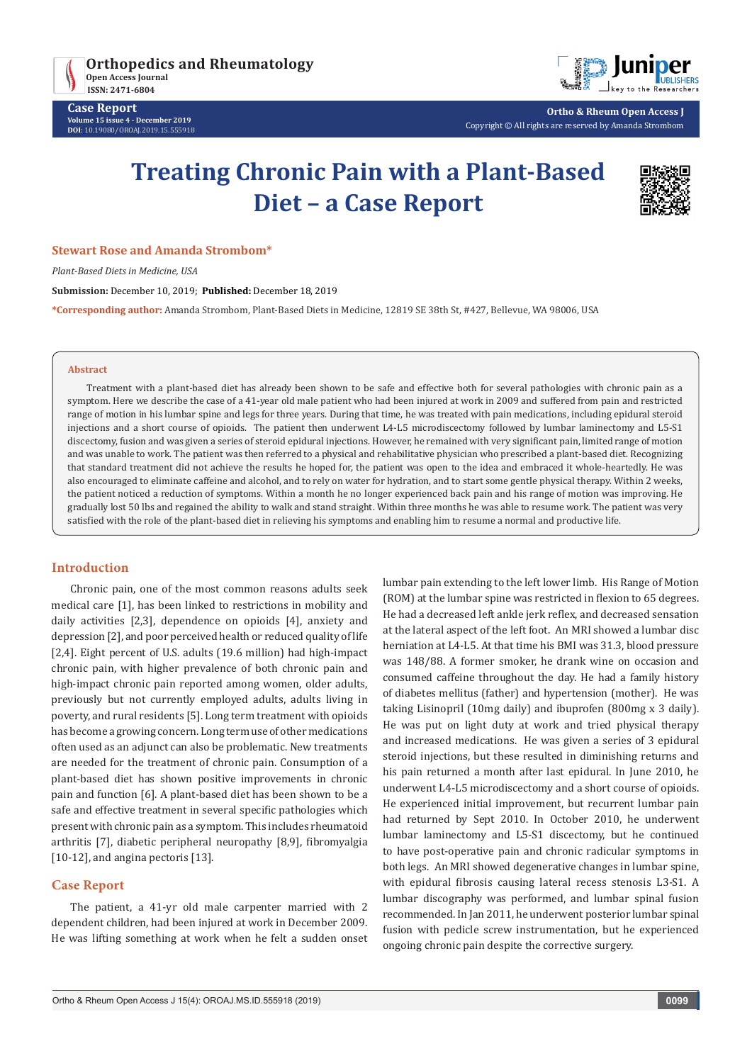



**Ortho & Rheum Open Access J** Copyright © All rights are reserved by Amanda Strombom

# **Treating Chronic Pain with a Plant-Based Diet – a Case Report**



#### **Stewart Rose and Amanda Strombom\***

*Plant-Based Diets in Medicine, USA*

**Submission:** December 10, 2019; **Published:** December 18, 2019

**\*Corresponding author:** Amanda Strombom, Plant-Based Diets in Medicine, 12819 SE 38th St, #427, Bellevue, WA 98006, USA

#### **Abstract**

Treatment with a plant-based diet has already been shown to be safe and effective both for several pathologies with chronic pain as a symptom. Here we describe the case of a 41-year old male patient who had been injured at work in 2009 and suffered from pain and restricted range of motion in his lumbar spine and legs for three years. During that time, he was treated with pain medications, including epidural steroid injections and a short course of opioids. The patient then underwent L4-L5 microdiscectomy followed by lumbar laminectomy and L5-S1 discectomy, fusion and was given a series of steroid epidural injections. However, he remained with very significant pain, limited range of motion and was unable to work. The patient was then referred to a physical and rehabilitative physician who prescribed a plant-based diet. Recognizing that standard treatment did not achieve the results he hoped for, the patient was open to the idea and embraced it whole-heartedly. He was also encouraged to eliminate caffeine and alcohol, and to rely on water for hydration, and to start some gentle physical therapy. Within 2 weeks, the patient noticed a reduction of symptoms. Within a month he no longer experienced back pain and his range of motion was improving. He gradually lost 50 lbs and regained the ability to walk and stand straight. Within three months he was able to resume work. The patient was very satisfied with the role of the plant-based diet in relieving his symptoms and enabling him to resume a normal and productive life.

## **Introduction**

Chronic pain, one of the most common reasons adults seek medical care [1], has been linked to restrictions in mobility and daily activities [2,3], dependence on opioids [4], anxiety and depression [2], and poor perceived health or reduced quality of life [2,4]. Eight percent of U.S. adults (19.6 million) had high-impact chronic pain, with higher prevalence of both chronic pain and high-impact chronic pain reported among women, older adults, previously but not currently employed adults, adults living in poverty, and rural residents [5]. Long term treatment with opioids has become a growing concern. Long term use of other medications often used as an adjunct can also be problematic. New treatments are needed for the treatment of chronic pain. Consumption of a plant-based diet has shown positive improvements in chronic pain and function [6]. A plant-based diet has been shown to be a safe and effective treatment in several specific pathologies which present with chronic pain as a symptom. This includes rheumatoid arthritis [7], diabetic peripheral neuropathy [8,9], fibromyalgia [10-12], and angina pectoris [13].

## **Case Report**

The patient, a 41-yr old male carpenter married with 2 dependent children, had been injured at work in December 2009. He was lifting something at work when he felt a sudden onset lumbar pain extending to the left lower limb. His Range of Motion (ROM) at the lumbar spine was restricted in flexion to 65 degrees. He had a decreased left ankle jerk reflex, and decreased sensation at the lateral aspect of the left foot. An MRI showed a lumbar disc herniation at L4-L5. At that time his BMI was 31.3, blood pressure was 148/88. A former smoker, he drank wine on occasion and consumed caffeine throughout the day. He had a family history of diabetes mellitus (father) and hypertension (mother). He was taking Lisinopril (10mg daily) and ibuprofen (800mg x 3 daily). He was put on light duty at work and tried physical therapy and increased medications. He was given a series of 3 epidural steroid injections, but these resulted in diminishing returns and his pain returned a month after last epidural. In June 2010, he underwent L4-L5 microdiscectomy and a short course of opioids. He experienced initial improvement, but recurrent lumbar pain had returned by Sept 2010. In October 2010, he underwent lumbar laminectomy and L5-S1 discectomy, but he continued to have post-operative pain and chronic radicular symptoms in both legs. An MRI showed degenerative changes in lumbar spine, with epidural fibrosis causing lateral recess stenosis L3-S1. A lumbar discography was performed, and lumbar spinal fusion recommended. In Jan 2011, he underwent posterior lumbar spinal fusion with pedicle screw instrumentation, but he experienced ongoing chronic pain despite the corrective surgery.